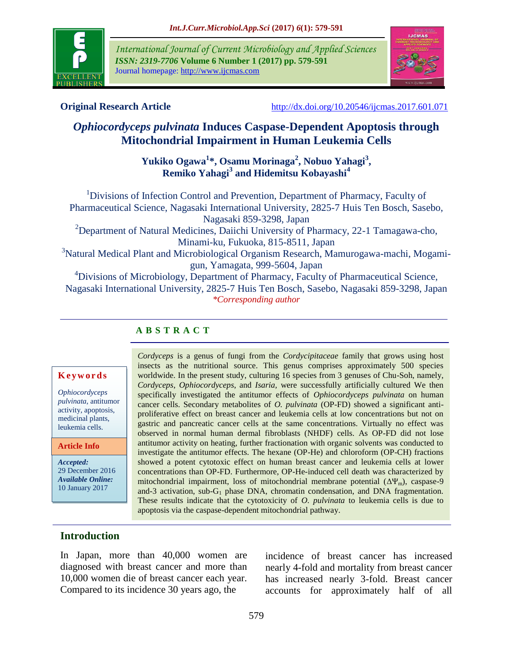

*International Journal of Current Microbiology and Applied Sciences ISSN: 2319-7706* **Volume 6 Number 1 (2017) pp. 579-591** Journal homepage: http://www.ijcmas.com



**Original Research Article** <http://dx.doi.org/10.20546/ijcmas.2017.601.071>

# *Ophiocordyceps pulvinata* **Induces Caspase-Dependent Apoptosis through Mitochondrial Impairment in Human Leukemia Cells**

**Yukiko Ogawa<sup>1</sup> \*, Osamu Morinaga<sup>2</sup> , Nobuo Yahagi<sup>3</sup> , Remiko Yahagi<sup>3</sup> and Hidemitsu Kobayashi<sup>4</sup>**

<sup>1</sup>Divisions of Infection Control and Prevention, Department of Pharmacy, Faculty of Pharmaceutical Science, Nagasaki International University, 2825-7 Huis Ten Bosch, Sasebo, Nagasaki 859-3298, Japan <sup>2</sup>Department of Natural Medicines, Daiichi University of Pharmacy, 22-1 Tamagawa-cho, Minami-ku, Fukuoka, 815-8511, Japan <sup>3</sup>Natural Medical Plant and Microbiological Organism Research, Mamurogawa-machi, Mogamigun, Yamagata, 999-5604, Japan <sup>4</sup>Divisions of Microbiology, Department of Pharmacy, Faculty of Pharmaceutical Science, Nagasaki International University, 2825-7 Huis Ten Bosch, Sasebo, Nagasaki 859-3298, Japan *\*Corresponding author*

## **A B S T R A C T**

#### **K e y w o r d s**

*Ophiocordyceps pulvinata*, antitumor activity, apoptosis, medicinal plants, leukemia cells.

#### **Article Info**

*Accepted:*  29 December 2016 *Available Online:* 10 January 2017

*Cordyceps* is a genus of fungi from the *Cordycipitaceae* family that grows using host insects as the nutritional source. This genus comprises approximately 500 species worldwide. In the present study, culturing 16 species from 3 genuses of Chu-Soh, namely, *Cordyceps*, *Ophiocordyceps*, and *Isaria,* were successfully artificially cultured We then specifically investigated the antitumor effects of *Ophiocordyceps pulvinata* on human cancer cells. Secondary metabolites of *O. pulvinata* (OP-FD) showed a significant antiproliferative effect on breast cancer and leukemia cells at low concentrations but not on gastric and pancreatic cancer cells at the same concentrations. Virtually no effect was observed in normal human dermal fibroblasts (NHDF) cells. As OP-FD did not lose antitumor activity on heating, further fractionation with organic solvents was conducted to investigate the antitumor effects. The hexane (OP-He) and chloroform (OP-CH) fractions showed a potent cytotoxic effect on human breast cancer and leukemia cells at lower concentrations than OP-FD. Furthermore, OP-He-induced cell death was characterized by mitochondrial impairment, loss of mitochondrial membrane potential  $(\Delta \Psi_{\rm m})$ , caspase-9 and-3 activation, sub-G<sub>1</sub> phase DNA, chromatin condensation, and DNA fragmentation. These results indicate that the cytotoxicity of *O. pulvinata* to leukemia cells is due to apoptosis via the caspase-dependent mitochondrial pathway.

## **Introduction**

In Japan, more than 40,000 women are diagnosed with breast cancer and more than 10,000 women die of breast cancer each year. Compared to its incidence 30 years ago, the

incidence of breast cancer has increased nearly 4-fold and mortality from breast cancer has increased nearly 3-fold. Breast cancer accounts for approximately half of all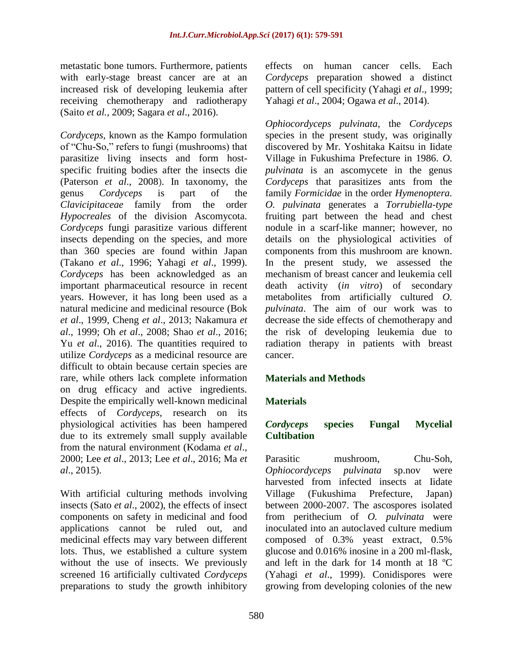metastatic bone tumors. Furthermore, patients with early-stage breast cancer are at an increased risk of developing leukemia after receiving chemotherapy and radiotherapy (Saito *et al.,* 2009; Sagara *et al*., 2016).

*Cordyceps*, known as the Kampo formulation of "Chu-So," refers to fungi (mushrooms) that parasitize living insects and form hostspecific fruiting bodies after the insects die (Paterson *et al*., 2008). In taxonomy, the genus *Cordyceps* is part of the *Clavicipitaceae* family from the order *Hypocreales* of the division Ascomycota. *Cordyceps* fungi parasitize various different insects depending on the species, and more than 360 species are found within Japan (Takano *et al*., 1996; Yahagi *et al*., 1999). *Cordyceps* has been acknowledged as an important pharmaceutical resource in recent years. However, it has long been used as a natural medicine and medicinal resource (Bok *et al*., 1999, [Cheng](http://www.ncbi.nlm.nih.gov/pubmed?term=Cheng%20YW%5BAuthor%5D&cauthor=true&cauthor_uid=23662615) *et al*., 2013; Nakamura *et al*., 1999; Oh *et al*., 2008; Shao *et al*., 2016; Yu *et al.*, 2016). The quantities required to utilize *Cordyceps* as a medicinal resource are difficult to obtain because certain species are rare, while others lack complete information on drug efficacy and active ingredients. Despite the empirically well-known medicinal effects of *Cordyceps*, research on its physiological activities has been hampered due to its extremely small supply available from the natural environment (Kodama *et al*., 2000; Lee *et al*., 2013; Lee *et al*., 2016; Ma *et al*., 2015).

With artificial culturing methods involving insects (Sato *et al*., 2002), the effects of insect components on safety in medicinal and food applications cannot be ruled out, and medicinal effects may vary between different lots. Thus, we established a culture system without the use of insects. We previously screened 16 artificially cultivated *Cordyceps* preparations to study the growth inhibitory effects on human cancer cells. Each *Cordyceps* preparation showed a distinct pattern of cell specificity (Yahagi *et al*., 1999; Yahagi *et al*., 2004; Ogawa *et al*., 2014).

*Ophiocordyceps pulvinata*, the *Cordyceps* species in the present study, was originally discovered by Mr. Yoshitaka Kaitsu in Iidate Village in Fukushima Prefecture in 1986. *O. pulvinata* is an ascomycete in the genus *Cordyceps* that parasitizes ants from the family *Formicidae* in the order *Hymenoptera. O. pulvinata* generates a *Torrubiella-type* fruiting part between the head and chest nodule in a scarf-like manner; however, no details on the physiological activities of components from this mushroom are known. In the present study, we assessed the mechanism of breast cancer and leukemia cell death activity (*in vitro*) of secondary metabolites from artificially cultured *O. pulvinata*. The aim of our work was to decrease the side effects of chemotherapy and the risk of developing leukemia due to radiation therapy in patients with breast cancer.

## **Materials and Methods**

## **Materials**

## *Cordyceps* **species Fungal Mycelial Cultibation**

Parasitic mushroom, Chu-Soh, *Ophiocordyceps pulvinata* sp.nov were harvested from infected insects at Iidate Village (Fukushima Prefecture, Japan) between 2000-2007. The ascospores isolated from perithecium of *O. pulvinata* were inoculated into an autoclaved culture medium composed of 0.3% yeast extract, 0.5% glucose and 0.016% inosine in a 200 ml-flask, and left in the dark for 14 month at 18 ºC (Yahagi *et al*., 1999). Conidispores were growing from developing colonies of the new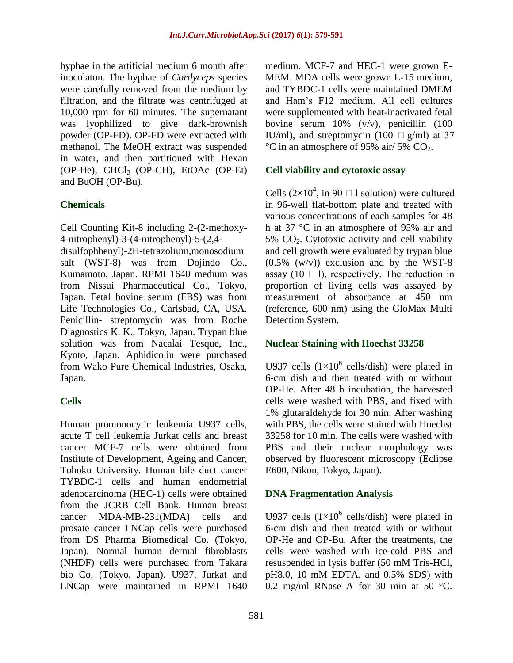hyphae in the artificial medium 6 month after inoculaton. The hyphae of *Cordyceps* species were carefully removed from the medium by filtration, and the filtrate was centrifuged at 10,000 rpm for 60 minutes. The supernatant was lyophilized to give dark-brownish powder (OP-FD). OP-FD were extracted with methanol. The MeOH extract was suspended in water, and then partitioned with Hexan (OP-He), CHCl3 (OP-CH), EtOAc (OP-Et) and BuOH (OP-Bu).

## **Chemicals**

Cell Counting Kit-8 including 2-(2-methoxy-4-nitrophenyl)-3-(4-nitrophenyl)-5-(2,4-

disulfophhenyl)-2H-tetrazolium,monosodium salt (WST-8) was from Dojindo Co., Kumamoto, Japan. RPMI 1640 medium was from Nissui Pharmaceutical Co., Tokyo, Japan. Fetal bovine serum (FBS) was from Life Technologies Co., Carlsbad, CA, USA. Penicillin- streptomycin was from Roche Diagnostics K. K., Tokyo, Japan. Trypan blue solution was from Nacalai Tesque, Inc., Kyoto, Japan. Aphidicolin were purchased from Wako Pure Chemical Industries, Osaka, Japan.

## **Cells**

Human promonocytic leukemia U937 cells, acute T cell leukemia Jurkat cells and breast cancer MCF-7 cells were obtained from Institute of Development, Ageing and Cancer, Tohoku University. Human bile duct cancer TYBDC-1 cells and human endometrial adenocarcinoma (HEC-1) cells were obtained from the JCRB Cell Bank. Human breast cancer MDA-MB-231(MDA) cells and prosate cancer LNCap cells were purchased from DS Pharma Biomedical Co. (Tokyo, Japan). Normal human dermal fibroblasts (NHDF) cells were purchased from Takara bio Co. (Tokyo, Japan). U937, Jurkat and LNCap were maintained in RPMI 1640 medium. MCF-7 and HEC-1 were grown E-MEM. MDA cells were grown L-15 medium, and TYBDC-1 cells were maintained DMEM and Ham's F12 medium. All cell cultures were supplemented with heat-inactivated fetal bovine serum 10% (v/v), penicillin (100 IU/ml), and streptomycin (100  $\Box$  g/ml) at 37  $\rm{^{\circ}C}$  in an atmosphere of 95% air/ 5% CO<sub>2</sub>.

#### **Cell viability and cytotoxic assay**

Cells  $(2\times10^4)$ , in 90  $\Box$  1 solution) were cultured in 96-well flat-bottom plate and treated with various concentrations of each samples for 48 h at 37 °C in an atmosphere of 95% air and 5% CO2. Cytotoxic activity and cell viability and cell growth were evaluated by trypan blue  $(0.5\%$  (w/v)) exclusion and by the WST-8 assay (10  $\Box$  1), respectively. The reduction in proportion of living cells was assayed by measurement of absorbance at 450 nm (reference, 600 nm) using the GloMax Multi Detection System.

#### **Nuclear Staining with Hoechst 33258**

U937 cells  $(1\times10^6 \text{ cells/dish})$  were plated in 6-cm dish and then treated with or without OP-He. After 48 h incubation, the harvested cells were washed with PBS, and fixed with 1% glutaraldehyde for 30 min. After washing with PBS, the cells were stained with Hoechst 33258 for 10 min. The cells were washed with PBS and their nuclear morphology was observed by fluorescent microscopy (Eclipse E600, Nikon, Tokyo, Japan).

#### **DNA Fragmentation Analysis**

U937 cells  $(1\times10^6 \text{ cells/dish})$  were plated in 6-cm dish and then treated with or without OP-He and OP-Bu. After the treatments, the cells were washed with ice-cold PBS and resuspended in lysis buffer (50 mM Tris-HCl, pH8.0, 10 mM EDTA, and 0.5% SDS) with 0.2 mg/ml RNase A for 30 min at 50 °C.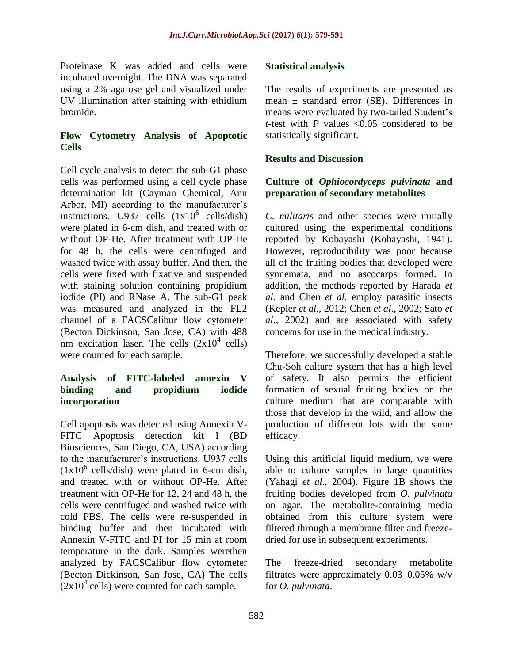Proteinase K was added and cells were incubated overnight. The DNA was separated using a 2% agarose gel and visualized under UV illumination after staining with ethidium bromide.

## **Flow Cytometry Analysis of Apoptotic Cells**

Cell cycle analysis to detect the sub-G1 phase cells was performed using a cell cycle phase determination kit (Cayman Chemical, Ann Arbor, MI) according to the manufacturer's instructions. U937 cells  $(1x10^6 \text{ cells/dish})$ were plated in 6-cm dish, and treated with or without OP-He. After treatment with OP-He for 48 h, the cells were centrifuged and washed twice with assay buffer. And then, the cells were fixed with fixative and suspended with staining solution containing propidium iodide (PI) and RNase A. The sub-G1 peak was measured and analyzed in the FL2 channel of a FACSCalibur flow cytometer (Becton Dickinson, San Jose, CA) with 488 nm excitation laser. The cells  $(2x10^4 \text{ cells})$ were counted for each sample.

### **Analysis of FITC-labeled annexin V binding and propidium iodide incorporation**

Cell apoptosis was detected using Annexin V-FITC Apoptosis detection kit I (BD Biosciences, San Diego, CA, USA) according to the manufacturer's instructions. U937 cells  $(1x10^6 \text{ cells/dish})$  were plated in 6-cm dish, and treated with or without OP-He. After treatment with OP-He for 12, 24 and 48 h, the cells were centrifuged and washed twice with cold PBS. The cells were re-suspended in binding buffer and then incubated with Annexin V-FITC and PI for 15 min at room temperature in the dark. Samples werethen analyzed by FACSCalibur flow cytometer (Becton Dickinson, San Jose, CA) The cells  $(2x10<sup>4</sup>$  cells) were counted for each sample.

## **Statistical analysis**

The results of experiments are presented as mean ± standard error (SE). Differences in means were evaluated by two-tailed Student's *t*-test with *P* values <0.05 considered to be statistically significant.

## **Results and Discussion**

## **Culture of** *Ophiocordyceps pulvinata* **and preparation of secondary metabolites**

*C. militaris* and other species were initially cultured using the experimental conditions reported by Kobayashi (Kobayashi, 1941). However, reproducibility was poor because all of the fruiting bodies that developed were synnemata, and no ascocarps formed. In addition, the methods reported by Harada *et al.* and Chen *et al.* employ parasitic insects (Kepler *et al*., 2012; Chen *et al*., 2002; Sato *et al*., 2002) and are associated with safety concerns for use in the medical industry.

Therefore, we successfully developed a stable Chu-Soh culture system that has a high level of safety. It also permits the efficient formation of sexual fruiting bodies on the culture medium that are comparable with those that develop in the wild, and allow the production of different lots with the same efficacy.

Using this artificial liquid medium, we were able to culture samples in large quantities (Yahagi *et al*., 2004). Figure 1B shows the fruiting bodies developed from *O. pulvinata* on agar. The metabolite-containing media obtained from this culture system were filtered through a membrane filter and freezedried for use in subsequent experiments.

The freeze-dried secondary metabolite filtrates were approximately 0.03–0.05% w/v for *O. pulvinata*.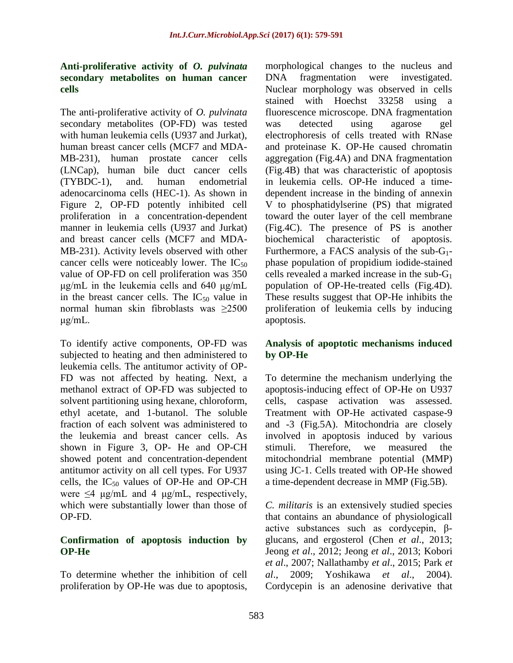## **Anti-proliferative activity of** *O. pulvinata* **secondary metabolites on human cancer cells**

The anti-proliferative activity of *O. pulvinata* secondary metabolites (OP-FD) was tested with human leukemia cells (U937 and Jurkat). human breast cancer cells (MCF7 and MDA-MB-231), human prostate cancer cells (LNCap), human bile duct cancer cells (TYBDC-1), and. human endometrial adenocarcinoma cells (HEC-1). As shown in Figure 2, OP-FD potently inhibited cell proliferation in a concentration-dependent manner in leukemia cells (U937 and Jurkat) and breast cancer cells (MCF7 and MDA-MB-231). Activity levels observed with other cancer cells were noticeably lower. The  $IC_{50}$ value of OP-FD on cell proliferation was 350 μg/mL in the leukemia cells and 640 μg/mL in the breast cancer cells. The  $IC_{50}$  value in normal human skin fibroblasts was ≥2500 μg/mL.

To identify active components, OP-FD was subjected to heating and then administered to leukemia cells. The antitumor activity of OP-FD was not affected by heating. Next, a methanol extract of OP-FD was subjected to solvent partitioning using hexane, chloroform, ethyl acetate, and 1-butanol. The soluble fraction of each solvent was administered to the leukemia and breast cancer cells. As shown in Figure 3, OP- He and OP-CH showed potent and concentration-dependent antitumor activity on all cell types. For U937 cells, the  $IC_{50}$  values of OP-He and OP-CH were  $\leq 4$  μg/mL and 4 μg/mL, respectively, which were substantially lower than those of OP-FD.

## **Confirmation of apoptosis induction by OP-He**

To determine whether the inhibition of cell proliferation by OP-He was due to apoptosis,

morphological changes to the nucleus and DNA fragmentation were investigated. Nuclear morphology was observed in cells stained with Hoechst 33258 using a fluorescence microscope. DNA fragmentation was detected using agarose gel electrophoresis of cells treated with RNase and proteinase K. OP-He caused chromatin aggregation (Fig.4A) and DNA fragmentation (Fig.4B) that was characteristic of apoptosis in leukemia cells. OP-He induced a timedependent increase in the binding of annexin V to phosphatidylserine (PS) that migrated toward the outer layer of the cell membrane (Fig.4C). The presence of PS is another biochemical characteristic of apoptosis. Furthermore, a FACS analysis of the sub-G1 phase population of propidium iodide-stained cells revealed a marked increase in the sub- $G_1$ population of OP-He-treated cells (Fig.4D). These results suggest that OP-He inhibits the proliferation of leukemia cells by inducing apoptosis.

## **Analysis of apoptotic mechanisms induced by OP-He**

To determine the mechanism underlying the apoptosis-inducing effect of OP-He on U937 cells, caspase activation was assessed. Treatment with OP-He activated caspase-9 and -3 (Fig.5A). Mitochondria are closely involved in apoptosis induced by various stimuli. Therefore, we measured the mitochondrial membrane potential (MMP) using JC-1. Cells treated with OP-He showed a time-dependent decrease in MMP (Fig.5B).

*C. militaris* is an extensively studied species that contains an abundance of physiologicall active substances such as cordycepin, βglucans, and ergosterol (Chen *et al*., 2013; Jeong *et al*., 2012; Jeong *et al*., 2013; Kobori *et al*., 2007; Nallathamby *et al*., 2015; Park *et al*., 2009; Yoshikawa *et al*., 2004). Cordycepin is an adenosine derivative that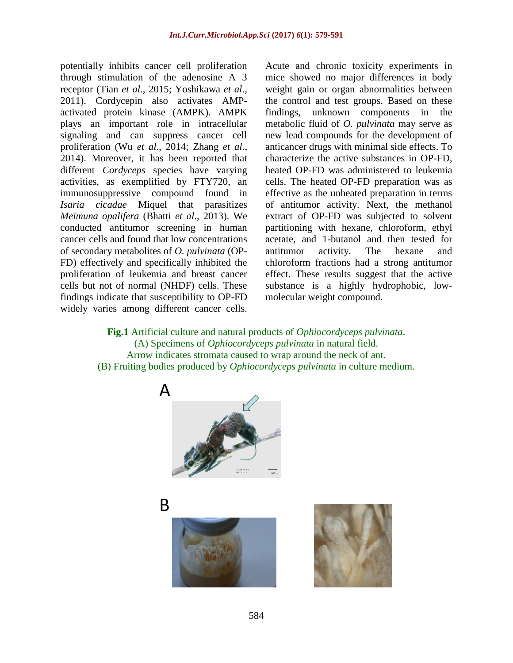potentially inhibits cancer cell proliferation through stimulation of the adenosine A 3 receptor (Tian *et al*., 2015; Yoshikawa *et al*., 2011). Cordycepin also activates AMPactivated protein kinase (AMPK). AMPK plays an important role in intracellular signaling and can suppress cancer cell proliferation (Wu *et al*., 2014; Zhang *et al*., 2014). Moreover, it has been reported that different *Cordyceps* species have varying activities, as exemplified by FTY720, an immunosuppressive compound found in *Isaria cicadae* Miquel that parasitizes *Meimuna opalifera* (Bhatti *et al*., 2013). We conducted antitumor screening in human cancer cells and found that low concentrations of secondary metabolites of *O. pulvinata* (OP-FD) effectively and specifically inhibited the proliferation of leukemia and breast cancer cells but not of normal (NHDF) cells. These findings indicate that susceptibility to OP-FD widely varies among different cancer cells.

Acute and chronic toxicity experiments in mice showed no major differences in body weight gain or organ abnormalities between the control and test groups. Based on these findings, unknown components in the metabolic fluid of *O. pulvinata* may serve as new lead compounds for the development of anticancer drugs with minimal side effects. To characterize the active substances in OP-FD, heated OP-FD was administered to leukemia cells. The heated OP-FD preparation was as effective as the unheated preparation in terms of antitumor activity. Next, the methanol extract of OP-FD was subjected to solvent partitioning with hexane, chloroform, ethyl acetate, and 1-butanol and then tested for antitumor activity. The hexane and chloroform fractions had a strong antitumor effect. These results suggest that the active substance is a highly hydrophobic, lowmolecular weight compound.

**Fig.1** Artificial culture and natural products of *Ophiocordyceps pulvinata*. (A) Specimens of *Ophiocordyceps pulvinata* in natural field. Arrow indicates stromata caused to wrap around the neck of ant. (B) Fruiting bodies produced by *Ophiocordyceps pulvinata* in culture medium.





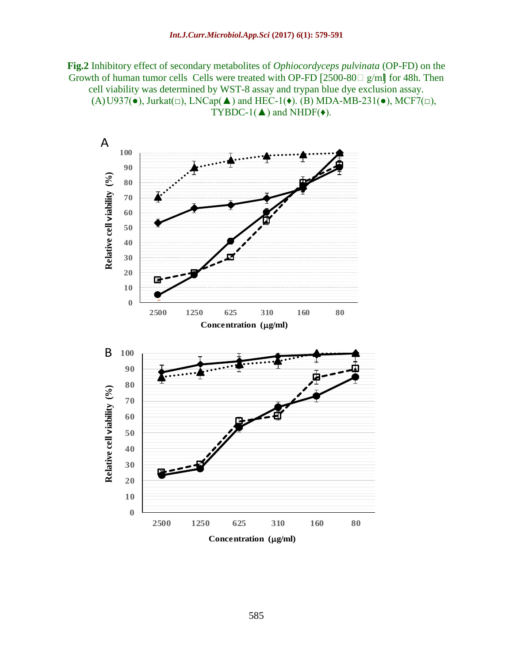**Fig.2** Inhibitory effect of secondary metabolites of *Ophiocordyceps pulvinata* (OP-FD) on the Growth of human tumor cells Cells were treated with OP-FD  $[2500-80]$  g/ml for 48h. Then cell viability was determined by WST-8 assay and trypan blue dye exclusion assay.  $(A)$ U937( $\bullet$ ), Jurkat $(\square)$ , LNCap( $\blacktriangle$ ) and HEC-1( $\bullet$ ). (B) MDA-MB-231( $\bullet$ ), MCF7( $\square$ ), TYBDC-1( $\blacktriangle$ ) and NHDF( $\blacklozenge$ ).

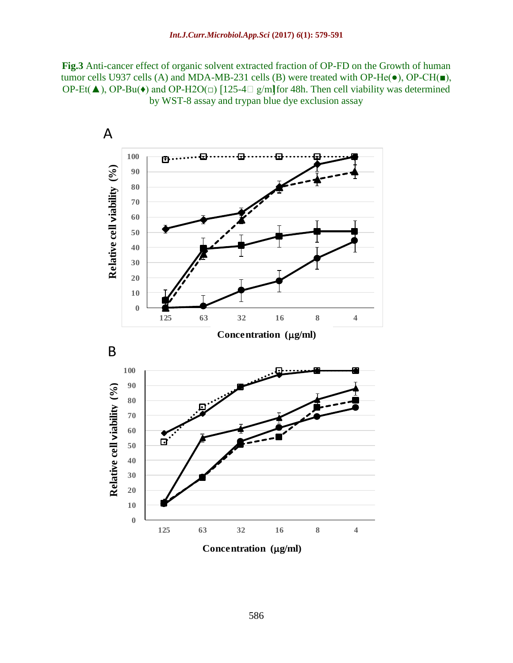**Fig.3** Anti-cancer effect of organic solvent extracted fraction of OP-FD on the Growth of human tumor cells U937 cells (A) and MDA-MB-231 cells (B) were treated with OP-He $(\bullet)$ , OP-CH $(\bullet)$ , OP-Et( $\blacktriangle$ ), OP-Bu( $\blacklozenge$ ) and OP-H2O( $\Box$ ) [125-4 $\Box$  g/ml|for 48h. Then cell viability was determined by WST-8 assay and trypan blue dye exclusion assay

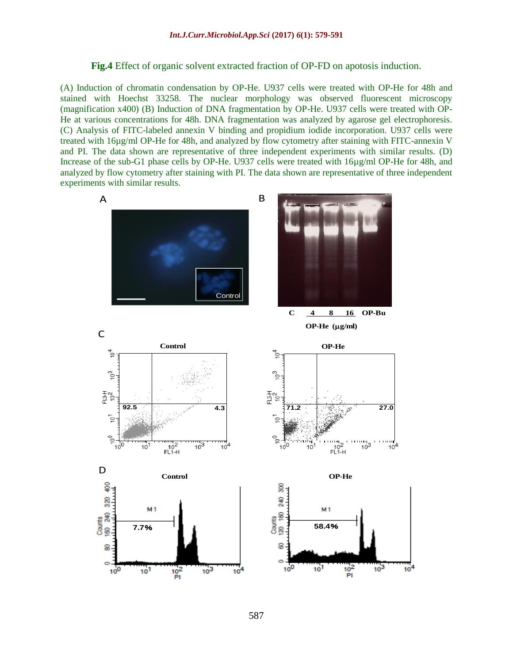**Fig.4** Effect of organic solvent extracted fraction of OP-FD on apotosis induction.

(A) Induction of chromatin condensation by OP-He. U937 cells were treated with OP-He for 48h and stained with Hoechst 33258. The nuclear morphology was observed fluorescent microscopy (magnification x400) (B) Induction of DNA fragmentation by OP-He. U937 cells were treated with OP-He at various concentrations for 48h. DNA fragmentation was analyzed by agarose gel electrophoresis. (C) Analysis of FITC-labeled annexin V binding and propidium iodide incorporation. U937 cells were treated with 16µg/ml OP-He for 48h, and analyzed by flow cytometry after staining with FITC-annexin V and PI. The data shown are representative of three independent experiments with similar results. (D) Increase of the sub-G1 phase cells by OP-He. U937 cells were treated with 16µg/ml OP-He for 48h, and analyzed by flow cytometry after staining with PI. The data shown are representative of three independent experiments with similar results.

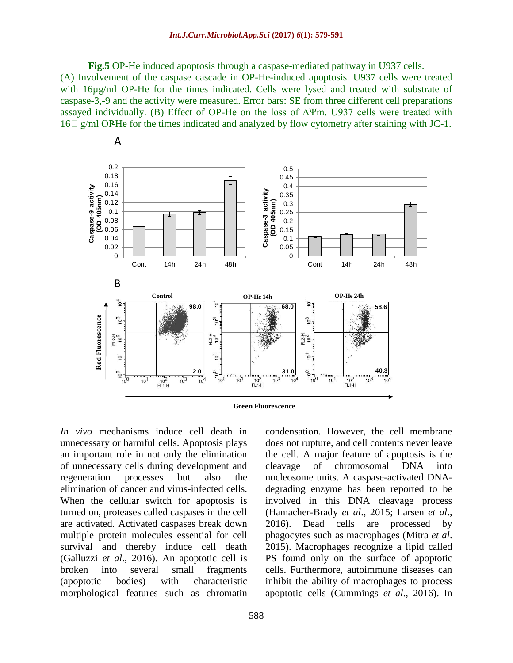**Fig.5** OP-He induced apoptosis through a caspase-mediated pathway in U937 cells. (A) Involvement of the caspase cascade in OP-He-induced apoptosis. U937 cells were treated with 16µg/ml OP-He for the times indicated. Cells were lysed and treated with substrate of caspase-3,-9 and the activity were measured. Error bars: SE from three different cell preparations assayed individually. (B) Effect of OP-He on the loss of  $\Delta \Psi$ m. U937 cells were treated with  $16\Box$  g/ml OP-He for the times indicated and analyzed by flow cytometry after staining with JC-1.





*In vivo* mechanisms induce cell death in unnecessary or harmful cells. Apoptosis plays an important role in not only the elimination of unnecessary cells during development and regeneration processes but also the elimination of cancer and virus-infected cells. When the cellular switch for apoptosis is turned on, proteases called caspases in the cell are activated. Activated caspases break down multiple protein molecules essential for cell survival and thereby induce cell death (Galluzzi *et al*., 2016). An apoptotic cell is broken into several small fragments (apoptotic bodies) with characteristic morphological features such as chromatin

A

condensation. However, the cell membrane does not rupture, and cell contents never leave the cell. A major feature of apoptosis is the cleavage of chromosomal DNA into nucleosome units. A caspase-activated DNAdegrading enzyme has been reported to be involved in this DNA cleavage process (Hamacher-Brady *et al*., 2015; Larsen *et al*., 2016). Dead cells are processed by phagocytes such as macrophages (Mitra *et al*. 2015). Macrophages recognize a lipid called PS found only on the surface of apoptotic cells. Furthermore, autoimmune diseases can inhibit the ability of macrophages to process apoptotic cells (Cummings *et al*., 2016). In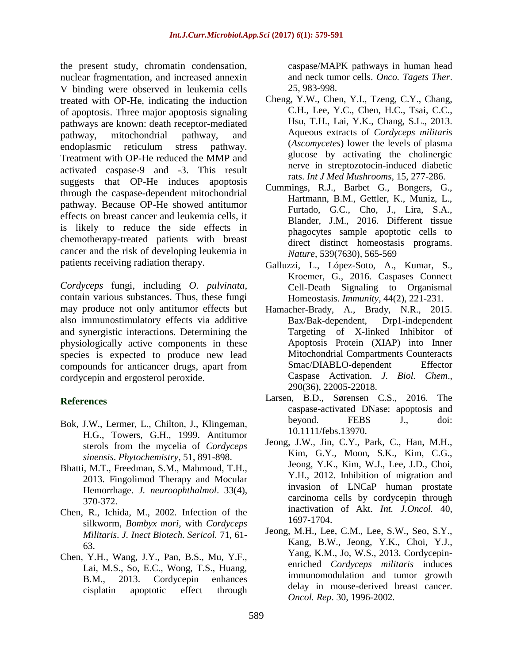the present study, chromatin condensation, nuclear fragmentation, and increased annexin V binding were observed in leukemia cells treated with OP-He, indicating the induction of apoptosis. Three major apoptosis signaling pathways are known: death receptor-mediated pathway, mitochondrial pathway, and endoplasmic reticulum stress pathway. Treatment with OP-He reduced the MMP and activated caspase-9 and -3. This result suggests that OP-He induces apoptosis through the caspase-dependent mitochondrial pathway. Because OP-He showed antitumor effects on breast cancer and leukemia cells, it is likely to reduce the side effects in chemotherapy-treated patients with breast cancer and the risk of developing leukemia in patients receiving radiation therapy.

*Cordyceps* fungi, including *O. pulvinata*, contain various substances. Thus, these fungi may produce not only antitumor effects but also immunostimulatory effects via additive and synergistic interactions. Determining the physiologically active components in these species is expected to produce new lead compounds for anticancer drugs, apart from cordycepin and ergosterol peroxide.

## **References**

- Bok, J.W., Lermer, L., Chilton, J., Klingeman, H.G., Towers, G.H., 1999. Antitumor sterols from the mycelia of *Cordyceps sinensis*. *Phytochemistry*, 51, 891-898.
- Bhatti, M.T., Freedman, S.M., Mahmoud, T.H., 2013. Fingolimod Therapy and Mocular Hemorrhage. *J. neuroophthalmol*. 33(4), 370-372.
- Chen, R., Ichida, M., 2002. Infection of the silkworm, *Bombyx mori*, with *Cordyceps Militaris*. *J. Inect Biotech. Sericol.* 71, 61- 63.
- Chen, Y.H., Wang, J.Y., Pan, B.S., Mu, Y.F., Lai, M.S., So, E.C., Wong, T.S., Huang, B.M., 2013. Cordycepin enhances cisplatin apoptotic effect through

caspase/MAPK pathways in human head and neck tumor cells. *Onco. Tagets Ther*. 25, 983-998.

- [Cheng,](http://www.ncbi.nlm.nih.gov/pubmed?term=Cheng%20YW%5BAuthor%5D&cauthor=true&cauthor_uid=23662615) Y.W., [Chen,](http://www.ncbi.nlm.nih.gov/pubmed?term=Chen%20YI%5BAuthor%5D&cauthor=true&cauthor_uid=23662615) Y.I., [Tzeng,](http://www.ncbi.nlm.nih.gov/pubmed?term=Tzeng%20CY%5BAuthor%5D&cauthor=true&cauthor_uid=23662615) C.Y., [Chang,](http://www.ncbi.nlm.nih.gov/pubmed?term=Chang%20CH%5BAuthor%5D&cauthor=true&cauthor_uid=23662615) C.H., [Lee,](http://www.ncbi.nlm.nih.gov/pubmed?term=Lee%20YC%5BAuthor%5D&cauthor=true&cauthor_uid=23662615) Y.C., [Chen,](http://www.ncbi.nlm.nih.gov/pubmed?term=Chen%20HC%5BAuthor%5D&cauthor=true&cauthor_uid=23662615) H.C., [Tsai,](http://www.ncbi.nlm.nih.gov/pubmed?term=Tsai%20CC%5BAuthor%5D&cauthor=true&cauthor_uid=23662615) C.C., [Hsu,](http://www.ncbi.nlm.nih.gov/pubmed?term=Hsu%20TH%5BAuthor%5D&cauthor=true&cauthor_uid=23662615) T.H., [Lai,](http://www.ncbi.nlm.nih.gov/pubmed?term=Lai%20YK%5BAuthor%5D&cauthor=true&cauthor_uid=23662615) Y.K., [Chang,](http://www.ncbi.nlm.nih.gov/pubmed?term=Chang%20SL%5BAuthor%5D&cauthor=true&cauthor_uid=23662615) S.L., 2013. Aqueous extracts of *Cordyceps militaris* (*Ascomycetes*) lower the levels of plasma glucose by activating the cholinergic nerve in streptozotocin-induced diabetic rats. *[Int J Med Mushrooms,](http://www.ncbi.nlm.nih.gov/pubmed/23662615)* 15, 277-286.
- Cummings, R.J., Barbet G., Bongers, G., Hartmann, B.M., Gettler, K., Muniz, L., Furtado, G.C., Cho, J., Lira, S.A., Blander, J.M., 2016. Different tissue phagocytes sample apoptotic cells to direct distinct homeostasis programs. *Nature*, 539(7630), 565-569
- [Galluzzi, L.](https://www.ncbi.nlm.nih.gov/pubmed/?term=Galluzzi%20L%5BAuthor%5D&cauthor=true&cauthor_uid=26885855), [López-Soto, A.](https://www.ncbi.nlm.nih.gov/pubmed/?term=L%C3%B3pez-Soto%20A%5BAuthor%5D&cauthor=true&cauthor_uid=26885855), [Kumar, S.](https://www.ncbi.nlm.nih.gov/pubmed/?term=Kumar%20S%5BAuthor%5D&cauthor=true&cauthor_uid=26885855), [Kroemer, G.](https://www.ncbi.nlm.nih.gov/pubmed/?term=Kroemer%20G%5BAuthor%5D&cauthor=true&cauthor_uid=26885855), 2016. Caspases Connect Cell-Death Signaling to Organismal Homeostasis. *Immunity*, 44(2), 221-231.
- Hamacher-Brady, A., Brady, N.R., 2015. Bax/Bak-dependent, Drp1-independent Targeting of X-linked Inhibitor of Apoptosis Protein (XIAP) into Inner Mitochondrial Compartments Counteracts Smac/DIABLO-dependent Effector Caspase Activation. *J. Biol. Chem*., 290(36), 22005-22018.
- Larsen, B.D., Sørensen C.S., 2016. The caspase-activated DNase: apoptosis and beyond. FEBS J., doi: 10.1111/febs.13970.
- Jeong, J.W., Jin, C.Y., Park, C., Han, M.H., Kim, G.Y., Moon, S.K., Kim, C.G., Jeong, Y.K., Kim, W.J., Lee, J.D., Choi, Y.H., 2012. Inhibition of migration and invasion of LNCaP human prostate carcinoma cells by cordycepin through inactivation of Akt. *Int. J.Oncol.* 40, 1697-1704.
- Jeong, M.H., Lee, C.M., Lee, S.W., Seo, S.Y., Kang, B.W., Jeong, Y.K., Choi, Y.J., Yang, K.M., Jo, W.S., 2013. Cordycepinenriched *Cordyceps militaris* induces immunomodulation and tumor growth delay in mouse-derived breast cancer. *Oncol. Rep*. 30, 1996-2002.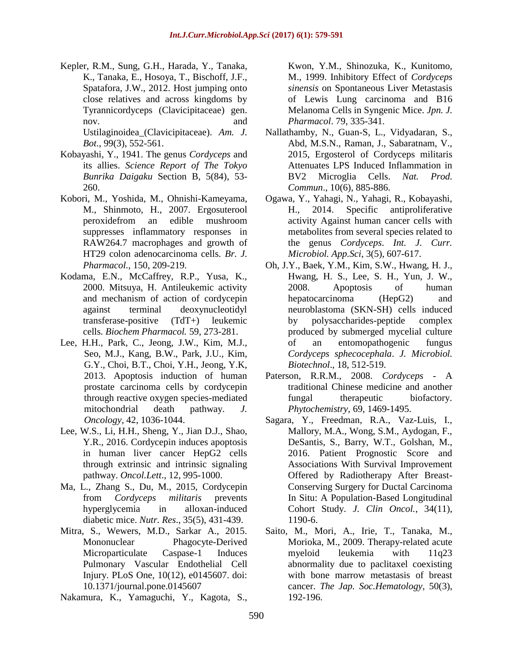Kepler, R.M., [Sung, G.H.](https://www.ncbi.nlm.nih.gov/pubmed/?term=Sung%20GH%5BAuthor%5D&cauthor=true&cauthor_uid=22334447), [Harada,](https://www.ncbi.nlm.nih.gov/pubmed/?term=Harada%20Y%5BAuthor%5D&cauthor=true&cauthor_uid=22334447) Y., [Tanaka,](https://www.ncbi.nlm.nih.gov/pubmed/?term=Tanaka%20K%5BAuthor%5D&cauthor=true&cauthor_uid=22334447)  [K.](https://www.ncbi.nlm.nih.gov/pubmed/?term=Tanaka%20K%5BAuthor%5D&cauthor=true&cauthor_uid=22334447), [Tanaka, E.](https://www.ncbi.nlm.nih.gov/pubmed/?term=Tanaka%20E%5BAuthor%5D&cauthor=true&cauthor_uid=22334447), [Hosoya, T.](https://www.ncbi.nlm.nih.gov/pubmed/?term=Hosoya%20T%5BAuthor%5D&cauthor=true&cauthor_uid=22334447), [Bischoff, J.F.](https://www.ncbi.nlm.nih.gov/pubmed/?term=Bischoff%20JF%5BAuthor%5D&cauthor=true&cauthor_uid=22334447), [Spatafora, J.W.](https://www.ncbi.nlm.nih.gov/pubmed/?term=Spatafora%20JW%5BAuthor%5D&cauthor=true&cauthor_uid=22334447), 2012. Host jumping onto close relatives and across kingdoms by Tyrannicordyceps (Clavicipitaceae) gen. nov. and Ustilaginoidea\_(Clavicipitaceae). *Am. J. Bot*., 99(3), 552-561.

Kobayashi, Y., 1941. The genus *Cordyceps* and its allies. *Science Report of The Tokyo Bunrika Daigaku* Section B, 5(84), 53- 260.

- Kobori, M., Yoshida, M., Ohnishi-Kameyama, M., Shinmoto, H., 2007. Ergosuterool peroxidefrom an edible mushroom suppresses inflammatory responses in RAW264.7 macrophages and growth of HT29 colon adenocarcinoma cells. *Br. J. Pharmacol.,* 150, 209-219.
- Kodama, E.N., McCaffrey, R.P., Yusa, K., 2000. Mitsuya, H. Antileukemic activity and mechanism of action of cordycepin against terminal deoxynucleotidyl transferase-positive (TdT+) leukemic cells. *Biochem Pharmacol.* 59, 273-281.
- Lee, H.H., Park, C., Jeong, J.W., Kim, M.J., Seo, M.J., Kang, B.W., Park, J.U., Kim, G.Y., Choi, B.T., Choi, Y.H., Jeong, Y.K, 2013. Apoptosis induction of human prostate carcinoma cells by cordycepin through reactive oxygen species-mediated mitochondrial death pathway. *J. Oncology,* 42, 1036-1044.
- Lee, W.S., Li, H.H., Sheng, Y., Jian D.J., Shao, Y.R., 2016. Cordycepin induces apoptosis in human liver cancer HepG2 cells through extrinsic and intrinsic signaling pathway. *Oncol.Lett*., 12, 995-1000.
- Ma, L., Zhang S., Du, M., 2015, Cordycepin from *Cordyceps militaris* prevents hyperglycemia in alloxan-induced diabetic mice. *Nutr. Res*., 35(5), 431-439.
- Mitra, S., Wewers, M.D., Sarkar A., 2015. Mononuclear Phagocyte-Derived Microparticulate Caspase-1 Induces Pulmonary Vascular Endothelial Cell Injury. PLoS One, 10(12), e0145607. doi: 10.1371/journal.pone.0145607

Nakamura, K., Yamaguchi, Y., Kagota, S.,

Kwon, Y.M., Shinozuka, K., Kunitomo, M., 1999. Inhibitory Effect of *Cordyceps sinensis* on Spontaneous Liver Metastasis of Lewis Lung carcinoma and B16 Melanoma Cells in Syngenic Mice. *Jpn. J. Pharmacol*. 79, 335-341.

- Nallathamby, N., Guan-S, L., Vidyadaran, S., Abd, M.S.N., Raman, J., Sabaratnam, V., 2015, Ergosterol of Cordyceps militaris Attenuates LPS Induced Inflammation in BV2 Microglia Cells. *Nat. Prod. Commun*., 10(6), 885-886.
- Ogawa, Y., Yahagi, N., Yahagi, R., Kobayashi, H., 2014. Specific antiproliferative activity Against human cancer cells with metabolites from several species related to the genus *Cordyceps*. *Int. J. Curr. Microbiol. App.Sci*, 3(5), 607-617.
- Oh, J.Y., Baek, Y.M., Kim, S.W., Hwang, H. J., Hwang, H. S., Lee, S. H., Yun, J. W., 2008. Apoptosis of human hepatocarcinoma (HepG2) and neuroblastoma (SKN-SH) cells induced by polysaccharides-peptide complex produced by submerged mycelial culture of an entomopathogenic fungus *Cordyceps sphecocephala*. *J. Microbiol. Biotechnol*., 18, 512-519.
- Paterson, R.R.M., 2008. *Cordyceps* A traditional Chinese medicine and another fungal therapeutic biofactory. *Phytochemistry,* 69, 1469-1495.
- Sagara, Y., Freedman, R.A., Vaz-Luis, I., Mallory, M.A., Wong, S.M., Aydogan, F., DeSantis, S., Barry, W.T., Golshan, M., 2016. Patient Prognostic Score and Associations With Survival Improvement Offered by Radiotherapy After Breast-Conserving Surgery for Ductal Carcinoma In Situ: A Population-Based Longitudinal Cohort Study. *J. Clin Oncol.*, 34(11), 1190-6.
- Saito, M., Mori, A., Irie, T., Tanaka, M., Morioka, M., 2009. Therapy-related acute myeloid leukemia with 11q23 abnormality due to paclitaxel coexisting with bone marrow metastasis of breast cancer. *The Jap. Soc.Hematology,* 50(3), 192-196.